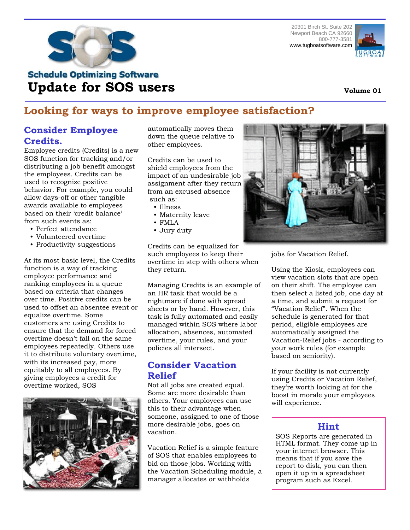



# **Schedule Optimizing Software Update for SOS users**

# **Looking for ways to improve employee satisfaction?**

# **Consider Employee Credits.**

Employee credits (Credits) is a new SOS function for tracking and/or distributing a job benefit amongst the employees. Credits can be used to recognize positive behavior. For example, you could allow days-off or other tangible awards available to employees based on their 'credit balance' from such events as:

- Perfect attendance
- Volunteered overtime
- Productivity suggestions

At its most basic level, the Credits function is a way of tracking employee performance and ranking employees in a queue based on criteria that changes over time. Positive credits can be used to offset an absentee event or equalize overtime. Some customers are using Credits to ensure that the demand for forced overtime doesn't fall on the same employees repeatedly. Others use it to distribute voluntary overtime, with its increased pay, more equitably to all employees. By giving employees a credit for overtime worked, SOS



automatically moves them down the queue relative to other employees.

Credits can be used to shield employees from the impact of an undesirable job assignment after they return from an excused absence such as:

- Illness
- Maternity leave
- FMLA
- Jury duty

Credits can be equalized for such employees to keep their overtime in step with others when they return.

Managing Credits is an example of an HR task that would be a nightmare if done with spread sheets or by hand. However, this task is fully automated and easily managed within SOS where labor allocation, absences, automated overtime, your rules, and your policies all intersect.

## **Consider Vacation Relief**

Not all jobs are created equal. Some are more desirable than others. Your employees can use this to their advantage when someone, assigned to one of those more desirable jobs, goes on vacation.

Vacation Relief is a simple feature of SOS that enables employees to bid on those jobs. Working with the Vacation Scheduling module, a manager allocates or withholds



jobs for Vacation Relief.

Using the Kiosk, employees can view vacation slots that are open on their shift. The employee can then select a listed job, one day at a time, and submit a request for "Vacation Relief". When the schedule is generated for that period, eligible employees are automatically assigned the Vacation-Relief jobs - according to your work rules (for example based on seniority).

If your facility is not currently using Credits or Vacation Relief, they're worth looking at for the boost in morale your employees will experience.

### **Hint**

SOS Reports are generated in HTML format. They come up in your internet browser. This means that if you save the report to disk, you can then open it up in a spreadsheet program such as Excel.

#### **Volume 01**